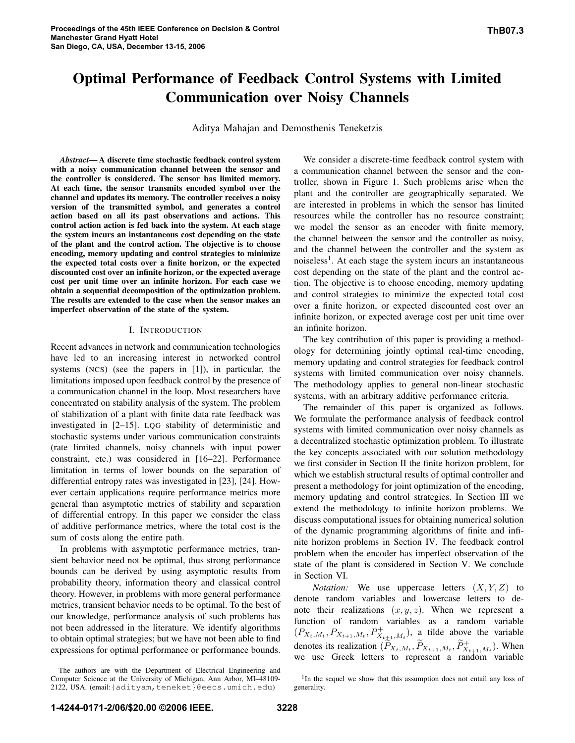# Optimal Performance of Feedback Control Systems with Limited Communication over Noisy Channels

Aditya Mahajan and Demosthenis Teneketzis

*Abstract*— A discrete time stochastic feedback control system with a noisy communication channel between the sensor and the controller is considered. The sensor has limited memory. At each time, the sensor transmits encoded symbol over the channel and updates its memory. The controller receives a noisy version of the transmitted symbol, and generates a control action based on all its past observations and actions. This control action action is fed back into the system. At each stage the system incurs an instantaneous cost depending on the state of the plant and the control action. The objective is to choose encoding, memory updating and control strategies to minimize the expected total costs over a finite horizon, or the expected discounted cost over an infinite horizon, or the expected average cost per unit time over an infinite horizon. For each case we obtain a sequential decomposition of the optimization problem. The results are extended to the case when the sensor makes an imperfect observation of the state of the system.

#### I. INTRODUCTION

Recent advances in network and communication technologies have led to an increasing interest in networked control systems (NCS) (see the papers in [1]), in particular, the limitations imposed upon feedback control by the presence of a communication channel in the loop. Most researchers have concentrated on stability analysis of the system. The problem of stabilization of a plant with finite data rate feedback was investigated in [2–15]. LQG stability of deterministic and stochastic systems under various communication constraints (rate limited channels, noisy channels with input power constraint, etc.) was considered in [16–22]. Performance limitation in terms of lower bounds on the separation of differential entropy rates was investigated in [23], [24]. However certain applications require performance metrics more general than asymptotic metrics of stability and separation of differential entropy. In this paper we consider the class of additive performance metrics, where the total cost is the sum of costs along the entire path.

In problems with asymptotic performance metrics, transient behavior need not be optimal, thus strong performance bounds can be derived by using asymptotic results from probability theory, information theory and classical control theory. However, in problems with more general performance metrics, transient behavior needs to be optimal. To the best of our knowledge, performance analysis of such problems has not been addressed in the literature. We identify algorithms to obtain optimal strategies; but we have not been able to find expressions for optimal performance or performance bounds.

The authors are with the Department of Electrical Engineering and Computer Science at the University of Michigan, Ann Arbor, MI–48109- 2122, USA. (email:{adityam,teneket}@eecs.umich.edu)

We consider a discrete-time feedback control system with a communication channel between the sensor and the controller, shown in Figure 1. Such problems arise when the plant and the controller are geographically separated. We are interested in problems in which the sensor has limited resources while the controller has no resource constraint; we model the sensor as an encoder with finite memory, the channel between the sensor and the controller as noisy, and the channel between the controller and the system as noiseless<sup>1</sup>. At each stage the system incurs an instantaneous cost depending on the state of the plant and the control action. The objective is to choose encoding, memory updating and control strategies to minimize the expected total cost over a finite horizon, or expected discounted cost over an infinite horizon, or expected average cost per unit time over an infinite horizon.

The key contribution of this paper is providing a methodology for determining jointly optimal real-time encoding, memory updating and control strategies for feedback control systems with limited communication over noisy channels. The methodology applies to general non-linear stochastic systems, with an arbitrary additive performance criteria.

The remainder of this paper is organized as follows. We formulate the performance analysis of feedback control systems with limited communication over noisy channels as a decentralized stochastic optimization problem. To illustrate the key concepts associated with our solution methodology we first consider in Section II the finite horizon problem, for which we establish structural results of optimal controller and present a methodology for joint optimization of the encoding, memory updating and control strategies. In Section III we extend the methodology to infinite horizon problems. We discuss computational issues for obtaining numerical solution of the dynamic programming algorithms of finite and infinite horizon problems in Section IV. The feedback control problem when the encoder has imperfect observation of the state of the plant is considered in Section V. We conclude in Section VI.

*Notation:* We use uppercase letters  $(X, Y, Z)$  to denote random variables and lowercase letters to denote their realizations  $(x, y, z)$ . When we represent a function of random variables as a random variable  $(P_{X_t,M_t}, P_{X_{t+1},M_t}, P_{X_{t+1},M_t}^+)$ , a tilde above the variable denotes its realization  $(\widetilde{P}_{X_t,M_t}, \widetilde{P}_{X_{t+1},M_t}, \widetilde{P}_{X_{t+1},M_t}^+)$ . When we use Greek letters to represent a random variable

<sup>&</sup>lt;sup>1</sup>In the sequel we show that this assumption does not entail any loss of generality.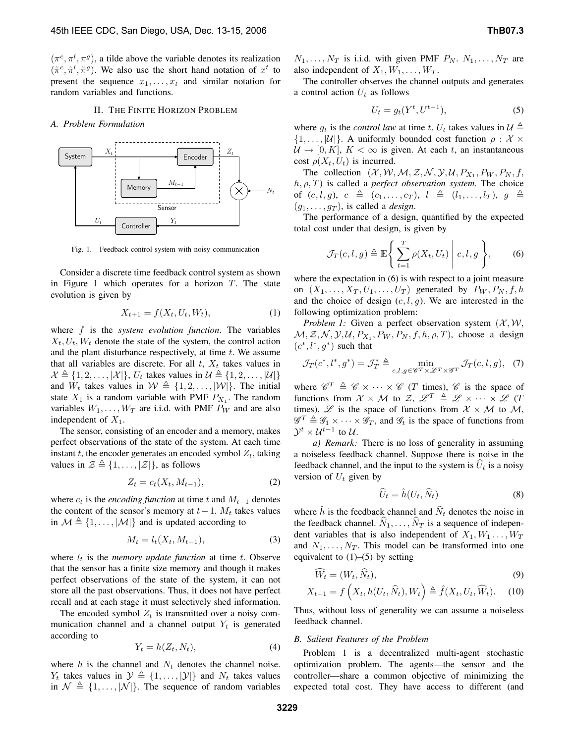$(\pi^c, \pi^l, \pi^g)$ , a tilde above the variable denotes its realization  $(\tilde{\pi}^c, \tilde{\pi}^l, \tilde{\pi}^g)$ . We also use the short hand notation of  $x^t$  to present the sequence  $x_1, \ldots, x_t$  and similar notation for random variables and functions.

#### II. THE FINITE HORIZON PROBLEM

*A. Problem Formulation*



Fig. 1. Feedback control system with noisy communication

Consider a discrete time feedback control system as shown in Figure 1 which operates for a horizon  $T$ . The state evolution is given by

$$
X_{t+1} = f(X_t, U_t, W_t),
$$
 (1)

where f is the *system evolution function*. The variables  $X_t, U_t, W_t$  denote the state of the system, the control action and the plant disturbance respectively, at time  $t$ . We assume that all variables are discrete. For all  $t$ ,  $X_t$  takes values in  $\mathcal{X} \triangleq \{1, 2, \ldots, |\mathcal{X}|\}, U_t$  takes values in  $\mathcal{U} \triangleq \{1, 2, \ldots, |\mathcal{U}|\}$ and  $W_t$  takes values in  $W \triangleq \{1, 2, \ldots, |\mathcal{W}|\}.$  The initial state  $X_1$  is a random variable with PMF  $P_{X_1}$ . The random variables  $W_1, \ldots, W_T$  are i.i.d. with PMF  $P_W$  and are also independent of  $X_1$ .

The sensor, consisting of an encoder and a memory, makes perfect observations of the state of the system. At each time instant t, the encoder generates an encoded symbol  $Z_t$ , taking values in  $\mathcal{Z} \triangleq \{1,\ldots,|\mathcal{Z}|\}$ , as follows

$$
Z_t = c_t(X_t, M_{t-1}),\tag{2}
$$

where  $c_t$  is the *encoding function* at time t and  $M_{t-1}$  denotes the content of the sensor's memory at  $t-1$ .  $M_t$  takes values in  $\mathcal{M} \triangleq \{1,\ldots, |\mathcal{M}|\}$  and is updated according to

$$
M_t = l_t(X_t, M_{t-1}),\tag{3}
$$

where  $l_t$  is the *memory update function* at time  $t$ . Observe that the sensor has a finite size memory and though it makes perfect observations of the state of the system, it can not store all the past observations. Thus, it does not have perfect recall and at each stage it must selectively shed information.

The encoded symbol  $Z_t$  is transmitted over a noisy communication channel and a channel output  $Y_t$  is generated according to

$$
Y_t = h(Z_t, N_t),\tag{4}
$$

where  $h$  is the channel and  $N_t$  denotes the channel noise.  $Y_t$  takes values in  $\mathcal{Y} \triangleq \{1,\ldots,|\mathcal{Y}|\}$  and  $N_t$  takes values in  $\mathcal{N} \triangleq \{1,\ldots, |\mathcal{N}|\}.$  The sequence of random variables  $N_1, \ldots, N_T$  is i.i.d. with given PMF  $P_N$ .  $N_1, \ldots, N_T$  are also independent of  $X_1, W_1, \ldots, W_T$ .

The controller observes the channel outputs and generates a control action  $U_t$  as follows

$$
U_t = g_t(Y^t, U^{t-1}),\tag{5}
$$

where  $g_t$  is the *control law* at time t.  $U_t$  takes values in  $\mathcal{U} \triangleq$  $\{1,\ldots,|\mathcal{U}|\}$ . A uniformly bounded cost function  $\rho : \mathcal{X} \times$  $U \rightarrow [0, K], K < \infty$  is given. At each t, an instantaneous cost  $\rho(X_t, U_t)$  is incurred.

The collection  $(X, W, M, Z, N, Y, U, P_{X_1}, P_W, P_N, f,$  $h, \rho, T$ ) is called a *perfect observation system*. The choice of  $(c, l, g), c \triangleq (c_1, \ldots, c_T), l \triangleq (l_1, \ldots, l_T), g \triangleq$  $(g_1, \ldots, g_T)$ , is called a *design*.

The performance of a design, quantified by the expected total cost under that design, is given by

$$
\mathcal{J}_T(c, l, g) \triangleq \mathbb{E}\Bigg\{\sum_{t=1}^T \rho(X_t, U_t) \mid c, l, g\Bigg\},\qquad(6)
$$

where the expectation in  $(6)$  is with respect to a joint measure on  $(X_1, \ldots, X_T, U_1, \ldots, U_T)$  generated by  $P_W, P_N, f, h$ and the choice of design  $(c, l, g)$ . We are interested in the following optimization problem:

*Problem 1:* Given a perfect observation system  $(X, W)$ ,  $M, Z, N, Y, U, P_{X_1}, P_W, P_N, f, h, \rho, T$ , choose a design  $(c^*, l^*, g^*)$  such that

$$
\mathcal{J}_T(c^*, l^*, g^*) = \mathcal{J}_T^* \triangleq \min_{c, l, g \in \mathscr{C}^T \times \mathscr{L}^T \times \mathscr{G}^T} \mathcal{J}_T(c, l, g), \tag{7}
$$

where  $\mathscr{C}^T \triangleq \mathscr{C} \times \cdots \times \mathscr{C}$  (*T* times),  $\mathscr{C}$  is the space of functions from  $X \times M$  to  $Z$ ,  $\mathscr{L}^T \triangleq \mathscr{L} \times \cdots \times \mathscr{L}$  (T times),  $\mathscr L$  is the space of functions from  $\mathscr X \times \mathscr M$  to  $\mathscr M$ ,  $\mathscr{G}^T \triangleq \mathscr{G}_1 \times \cdots \times \mathscr{G}_T$ , and  $\mathscr{G}_t$  is the space of functions from  $\mathcal{Y}^{t} \times \mathcal{U}^{t-1}$  to  $\mathcal{U}$ .

*a) Remark:* There is no loss of generality in assuming a noiseless feedback channel. Suppose there is noise in the feedback channel, and the input to the system is  $U_t$  is a noisy version of  $U_t$  given by

$$
\widehat{U}_t = \widehat{h}(U_t, \widehat{N}_t)
$$
\n(8)

where  $\hat{h}$  is the feedback channel and  $\hat{N}_t$  denotes the noise in the feedback channel.  $\hat{N}_1, \dots, \hat{N}_T$  is a sequence of independent variables that is also independent of  $X_1, W_1, \ldots, W_T$ and  $N_1, \ldots, N_T$ . This model can be transformed into one equivalent to  $(1)$ – $(5)$  by setting

$$
\widehat{W}_t = (W_t, \widehat{N}_t), \tag{9}
$$

$$
X_{t+1} = f\left(X_t, h(U_t, \widehat{N}_t), W_t\right) \triangleq \widehat{f}(X_t, U_t, \widehat{W}_t). \tag{10}
$$

Thus, without loss of generality we can assume a noiseless feedback channel.

## *B. Salient Features of the Problem*

Problem 1 is a decentralized multi-agent stochastic optimization problem. The agents—the sensor and the controller—share a common objective of minimizing the expected total cost. They have access to different (and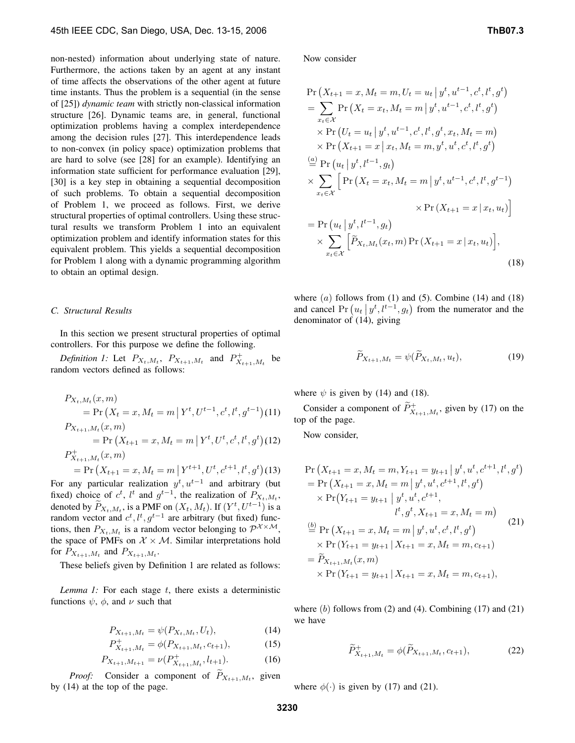non-nested) information about underlying state of nature. Furthermore, the actions taken by an agent at any instant of time affects the observations of the other agent at future time instants. Thus the problem is a sequential (in the sense of [25]) *dynamic team* with strictly non-classical information structure [26]. Dynamic teams are, in general, functional optimization problems having a complex interdependence among the decision rules [27]. This interdependence leads to non-convex (in policy space) optimization problems that are hard to solve (see [28] for an example). Identifying an information state sufficient for performance evaluation [29], [30] is a key step in obtaining a sequential decomposition of such problems. To obtain a sequential decomposition of Problem 1, we proceed as follows. First, we derive structural properties of optimal controllers. Using these structural results we transform Problem 1 into an equivalent optimization problem and identify information states for this equivalent problem. This yields a sequential decomposition for Problem 1 along with a dynamic programming algorithm to obtain an optimal design.

#### *C. Structural Results*

In this section we present structural properties of optimal controllers. For this purpose we define the following.

Definition 1: Let  $P_{X_t,M_t}$ ,  $P_{X_{t+1},M_t}$  and  $P_{X_{t+1},M_t}^+$  be random vectors defined as follows:

$$
P_{X_t, M_t}(x, m)
$$
  
= Pr (X<sub>t</sub> = x, M<sub>t</sub> = m | Y<sup>t</sup>, U<sup>t-1</sup>, c<sup>t</sup>, l<sup>t</sup>, g<sup>t-1</sup>)(11)  
\n
$$
P_{X_{t+1}, M_t}(x, m)
$$
  
= Pr (X<sub>t+1</sub> = x, M<sub>t</sub> = m | Y<sup>t</sup>, U<sup>t</sup>, c<sup>t</sup>, l<sup>t</sup>, g<sup>t</sup>)(12)  
\n
$$
P_{X_{t+1}, M_t}^+(x, m)
$$
  
= Pr (X<sub>t+1</sub> = x, M<sub>t</sub> = m | Y<sup>t+1</sup>, U<sup>t</sup>, c<sup>t+1</sup>, l<sup>t</sup>, g<sup>t</sup>)(13)

For any particular realization  $y^t$ ,  $u^{t-1}$  and arbitrary (but fixed) choice of  $c^t$ ,  $l^t$  and  $g^{t-1}$ , the realization of  $P_{X_t,M_t}$ , denoted by  $\widetilde{P}_{X_t,M_t}$ , is a PMF on  $(X_t, M_t)$ . If  $(Y^t, U^{t-1})$  is a random vector and  $c^t$ ,  $l^t$ ,  $g^{t-1}$  are arbitrary (but fixed) functions, then  $P_{X_t,M_t}$  is a random vector belonging to  $\mathcal{P}^{\mathcal{X}\times\mathcal{M}},$ the space of PMFs on  $X \times M$ . Similar interpretations hold for  $P_{X_{t+1},M_t}$  and  $P_{X_{t+1},M_t}$ .

These beliefs given by Definition 1 are related as follows:

*Lemma 1:* For each stage t, there exists a deterministic functions  $\psi$ ,  $\phi$ , and  $\nu$  such that

$$
P_{X_{t+1},M_t} = \psi(P_{X_t,M_t}, U_t), \tag{14}
$$

$$
P_{X_{t+1},M_t}^+ = \phi(P_{X_{t+1},M_t}, c_{t+1}),\tag{15}
$$

$$
P_{X_{t+1},M_{t+1}} = \nu(P_{X_{t+1},M_t}^+, l_{t+1}).\tag{16}
$$

*Proof:* Consider a component of  $P_{X_{t+1},M_t}$ , given by (14) at the top of the page.

Now consider

$$
\Pr\left(X_{t+1} = x, M_t = m, U_t = u_t | y^t, u^{t-1}, c^t, l^t, g^t\right)
$$
\n
$$
= \sum_{x_t \in \mathcal{X}} \Pr\left(X_t = x_t, M_t = m | y^t, u^{t-1}, c^t, l^t, g^t\right)
$$
\n
$$
\times \Pr\left(U_t = u_t | y^t, u^{t-1}, c^t, l^t, g^t, x_t, M_t = m\right)
$$
\n
$$
\times \Pr\left(X_{t+1} = x | x_t, M_t = m, y^t, u^t, c^t, l^t, g^t\right)
$$
\n
$$
\stackrel{(a)}{=} \Pr\left(u_t | y^t, l^{t-1}, g_t\right)
$$
\n
$$
\times \sum_{x_t \in \mathcal{X}} \left[\Pr\left(X_t = x_t, M_t = m | y^t, u^{t-1}, c^t, l^t, g^{t-1}\right) \right]
$$
\n
$$
= \Pr\left(u_t | y^t, l^{t-1}, g_t\right)
$$
\n
$$
\times \sum_{x_t \in \mathcal{X}} \left[\widetilde{P}_{X_t, M_t}(x_t, m) \Pr\left(X_{t+1} = x | x_t, u_t\right)\right],
$$
\n(18)

where  $(a)$  follows from  $(1)$  and  $(5)$ . Combine  $(14)$  and  $(18)$ and cancel Pr  $(u_t | y^t, l^{t-1}, g_t)$  from the numerator and the denominator of (14), giving

$$
\widetilde{P}_{X_{t+1},M_t} = \psi(\widetilde{P}_{X_t,M_t}, u_t),\tag{19}
$$

where  $\psi$  is given by (14) and (18).

Consider a component of  $\widetilde{P}^+_{X_{t+1},M_t}$ , given by (17) on the top of the page.

Now consider,

$$
\Pr\left(X_{t+1} = x, M_t = m, Y_{t+1} = y_{t+1} \mid y^t, u^t, c^{t+1}, l^t, g^t\right)
$$
\n
$$
= \Pr\left(X_{t+1} = x, M_t = m \mid y^t, u^t, c^{t+1}, l^t, g^t\right)
$$
\n
$$
\times \Pr(Y_{t+1} = y_{t+1} \mid y^t, u^t, c^{t+1},
$$
\n
$$
l^t, g^t, X_{t+1} = x, M_t = m)
$$
\n
$$
\stackrel{\text{(b)}}{=} \Pr\left(X_{t+1} = x, M_t = m \mid y^t, u^t, c^t, l^t, g^t\right)
$$
\n
$$
\times \Pr\left(Y_{t+1} = y_{t+1} \mid X_{t+1} = x, M_t = m, c_{t+1}\right)
$$
\n
$$
= \widetilde{P}_{X_{t+1}, M_t}(x, m)
$$
\n
$$
\times \Pr\left(Y_{t+1} = y_{t+1} \mid X_{t+1} = x, M_t = m, c_{t+1}\right),
$$

where  $(b)$  follows from  $(2)$  and  $(4)$ . Combining  $(17)$  and  $(21)$ we have

$$
\widetilde{P}^+_{X_{t+1},M_t} = \phi(\widetilde{P}_{X_{t+1},M_t}, c_{t+1}),\tag{22}
$$

where  $\phi(\cdot)$  is given by (17) and (21).

**3230**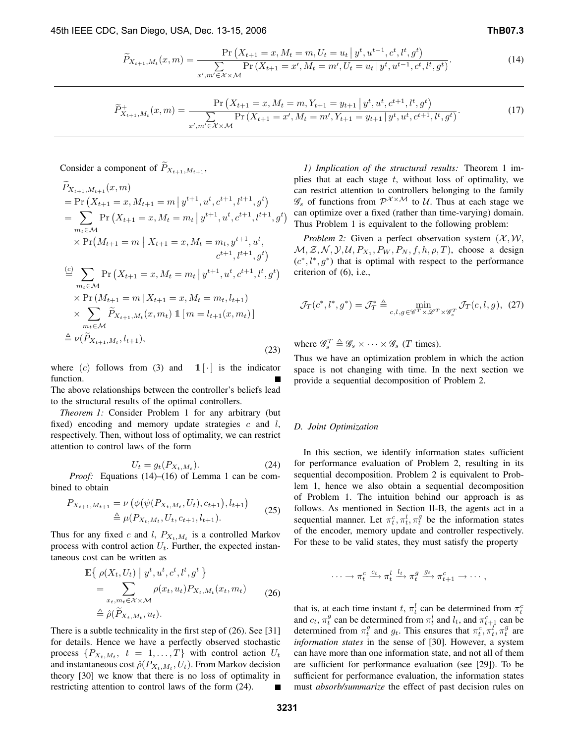$$
\widetilde{P}_{X_{t+1},M_t}(x,m) = \frac{\Pr\left(X_{t+1} = x, M_t = m, U_t = u_t \mid y^t, u^{t-1}, c^t, l^t, g^t\right)}{\sum_{x',m' \in \mathcal{X} \times \mathcal{M}} \Pr\left(X_{t+1} = x', M_t = m', U_t = u_t \mid y^t, u^{t-1}, c^t, l^t, g^t\right)}.
$$
\n(14)

$$
\widetilde{P}^+_{X_{t+1},M_t}(x,m) = \frac{\Pr\left(X_{t+1} = x, M_t = m, Y_{t+1} = y_{t+1} \mid y^t, u^t, c^{t+1}, l^t, g^t\right)}{\sum_{x',m' \in \mathcal{X} \times \mathcal{M}} \Pr\left(X_{t+1} = x', M_t = m', Y_{t+1} = y_{t+1} \mid y^t, u^t, c^{t+1}, l^t, g^t\right)}.
$$
\n(17)

## Consider a component of  $\widetilde{P}_{X_{t+1},M_{t+1}}$ ,

$$
P_{X_{t+1},M_{t+1}}(x,m)
$$
  
= Pr  $(X_{t+1} = x, M_{t+1} = m | y^{t+1}, u^t, c^{t+1}, l^{t+1}, g^t)$   
=  $\sum_{m_t \in \mathcal{M}} Pr(X_{t+1} = x, M_t = m_t | y^{t+1}, u^t, c^{t+1}, l^{t+1}, g^t)$   
 $\times Pr(M_{t+1} = m | X_{t+1} = x, M_t = m_t, y^{t+1}, u^t,$   
 $c^{t+1}, l^{t+1}, g^t)$   
 $\stackrel{(c)}{=} \sum_{m_t \in \mathcal{M}} Pr(X_{t+1} = x, M_t = m_t | y^{t+1}, u^t, c^{t+1}, l^t, g^t)$   
 $\times Pr(M_{t+1} = m | X_{t+1} = x, M_t = m_t, l_{t+1})$   
 $\times \sum_{m_t \in \mathcal{M}} \widetilde{P}_{X_{t+1},M_t}(x, m_t) 1 [m = l_{t+1}(x, m_t)]$   
 $\stackrel{\triangle}{=} \nu(\widetilde{P}_{X_{t+1},M_t}, l_{t+1}),$  (23)

where (c) follows from (3) and  $1 \mid \cdot$  is the indicator function.

The above relationships between the controller's beliefs lead to the structural results of the optimal controllers.

*Theorem 1:* Consider Problem 1 for any arbitrary (but fixed) encoding and memory update strategies  $c$  and  $l$ , respectively. Then, without loss of optimality, we can restrict attention to control laws of the form

$$
U_t = g_t(P_{X_t, M_t}).\tag{24}
$$

*Proof:* Equations (14)–(16) of Lemma 1 can be combined to obtain

$$
P_{X_{t+1},M_{t+1}} = \nu \left( \phi \left( \psi(P_{X_t,M_t}, U_t), c_{t+1} \right), l_{t+1} \right) \qquad (25)
$$
  

$$
\triangleq \mu(P_{X_t,M_t}, U_t, c_{t+1}, l_{t+1}).
$$

Thus for any fixed c and l,  $P_{X_t,M_t}$  is a controlled Markov process with control action  $U_t$ . Further, the expected instantaneous cost can be written as

$$
\mathbb{E}\left\{\rho(X_t, U_t) \mid y^t, u^t, c^t, l^t, g^t\right\}= \sum_{x_t, m_t \in \mathcal{X} \times \mathcal{M}} \rho(x_t, u_t) P_{X_t, M_t}(x_t, m_t) \qquad (26)\triangleq \hat{\rho}(\widetilde{P}_{X_t, M_t}, u_t).
$$

There is a subtle technicality in the first step of (26). See [31] for details. Hence we have a perfectly observed stochastic process  $\{P_{X_t,M_t}, t = 1, \ldots, T\}$  with control action  $U_t$ and instantaneous cost  $\hat{\rho}(P_{X_t,M_t}, U_t)$ . From Markov decision theory [30] we know that there is no loss of optimality in restricting attention to control laws of the form (24).

*1) Implication of the structural results:* Theorem 1 implies that at each stage  $t$ , without loss of optimality, we can restrict attention to controllers belonging to the family  $\mathscr{G}_s$  of functions from  $\mathcal{P}^{\mathcal{X}\times\mathcal{M}}$  to  $\mathcal{U}$ . Thus at each stage we can optimize over a fixed (rather than time-varying) domain. Thus Problem 1 is equivalent to the following problem:

*Problem 2:* Given a perfect observation system  $(\mathcal{X}, \mathcal{W},$  $M, Z, N, Y, U, P_{X_1}, P_W, P_N, f, h, \rho, T$ , choose a design  $(c^*, l^*, g^*)$  that is optimal with respect to the performance criterion of (6), i.e.,

$$
\mathcal{J}_T(c^*, l^*, g^*) = \mathcal{J}_T^* \triangleq \min_{c, l, g \in \mathscr{C}^T \times \mathscr{L}^T \times \mathscr{G}_s^T} \mathcal{J}_T(c, l, g), \tag{27}
$$

where  $\mathscr{G}_s^T \triangleq \mathscr{G}_s \times \cdots \times \mathscr{G}_s$  (*T* times).

Thus we have an optimization problem in which the action space is not changing with time. In the next section we provide a sequential decomposition of Problem 2.

## *D. Joint Optimization*

In this section, we identify information states sufficient for performance evaluation of Problem 2, resulting in its sequential decomposition. Problem 2 is equivalent to Problem 1, hence we also obtain a sequential decomposition of Problem 1. The intuition behind our approach is as follows. As mentioned in Section II-B, the agents act in a sequential manner. Let  $\pi_t^c, \pi_t^l, \pi_t^g$  be the information states of the encoder, memory update and controller respectively. For these to be valid states, they must satisfy the property

$$
\cdots \longrightarrow \pi_t^c \stackrel{c_t}{\longrightarrow} \pi_t^l \stackrel{l_t}{\longrightarrow} \pi_t^g \stackrel{g_t}{\longrightarrow} \pi_{t+1}^c \longrightarrow \cdots,
$$

that is, at each time instant t,  $\pi_t^l$  can be determined from  $\pi_t^c$ and  $c_t$ ,  $\pi_t^g$  can be determined from  $\pi_t^l$  and  $l_t$ , and  $\pi_{t+1}^c$  can be determined from  $\pi_t^g$  and  $g_t$ . This ensures that  $\pi_t^c$ ,  $\pi_t^{\overline{t}}$ ,  $\pi_t^g$  are *information states* in the sense of [30]. However, a system can have more than one information state, and not all of them are sufficient for performance evaluation (see [29]). To be sufficient for performance evaluation, the information states must *absorb/summarize* the effect of past decision rules on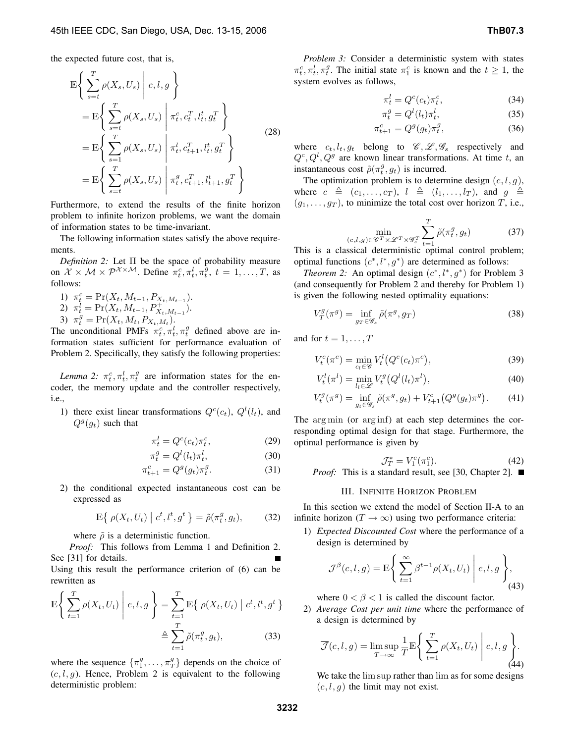the expected future cost, that is,

$$
\mathbb{E}\left\{\sum_{s=t}^{T} \rho(X_s, U_s) \middle| c, l, g \right\}
$$
\n
$$
= \mathbb{E}\left\{\sum_{s=t}^{T} \rho(X_s, U_s) \middle| \pi_t^c, c_t^T, l_t^t, g_t^T \right\}
$$
\n
$$
= \mathbb{E}\left\{\sum_{s=1}^{T} \rho(X_s, U_s) \middle| \pi_t^l, c_{t+1}^T, l_t^t, g_t^T \right\}
$$
\n
$$
= \mathbb{E}\left\{\sum_{s=t}^{T} \rho(X_s, U_s) \middle| \pi_t^g, c_{t+1}^T, l_{t+1}^t, g_t^T \right\}
$$
\n(28)

Furthermore, to extend the results of the finite horizon problem to infinite horizon problems, we want the domain of information states to be time-invariant.

The following information states satisfy the above requirements.

*Definition 2:* Let Π be the space of probability measure on  $\mathcal{X} \times \mathcal{M} \times \mathcal{P}^{\mathcal{X} \times \mathcal{M}}$ . Define  $\pi_t^c, \pi_t^l, \pi_t^g, t = 1, \dots, T$ , as follows:

- 1)  $\pi_t^c = \Pr(X_t, M_{t-1}, P_{X_t, M_{t-1}}).$ 2)  $\pi_t^l = \Pr(X_t, M_{t-1}, P_{X_t, M_{t-1}}^+)$ .
- 3)  $\pi_t^g = \Pr(X_t, M_t, P_{X_t, M_t}).$

The unconditional PMFs  $\pi_t^c, \pi_t^l, \pi_t^g$  defined above are information states sufficient for performance evaluation of Problem 2. Specifically, they satisfy the following properties:

*Lemma 2:*  $\pi_t^c, \pi_t^l, \pi_t^g$  are information states for the encoder, the memory update and the controller respectively, i.e.,

1) there exist linear transformations  $Q^{c}(c_t)$ ,  $Q^{l}(l_t)$ , and  $Q^g(g_t)$  such that

$$
\pi_t^l = Q^c(c_t)\pi_t^c,\tag{29}
$$

$$
\pi_t^g = Q^l(l_t)\pi_t^l,\tag{30}
$$

$$
\pi_{t+1}^c = Q^g(g_t)\pi_t^g.
$$
 (31)

2) the conditional expected instantaneous cost can be expressed as

$$
\mathbb{E}\left\{\rho(X_t, U_t) \mid c^t, l^t, g^t\right\} = \tilde{\rho}(\pi_t^g, g_t),\tag{32}
$$

where  $\tilde{\rho}$  is a deterministic function.

*Proof:* This follows from Lemma 1 and Definition 2. See [31] for details.

Using this result the performance criterion of (6) can be rewritten as

$$
\mathbb{E}\left\{\sum_{t=1}^{T}\rho(X_t, U_t) \middle| c, l, g\right\} = \sum_{t=1}^{T} \mathbb{E}\left\{\rho(X_t, U_t) \middle| c^t, l^t, g^t\right\}
$$

$$
\triangleq \sum_{t=1}^{T} \tilde{\rho}(\pi_t^g, g_t), \tag{33}
$$

where the sequence  $\{\pi_1^g, \ldots, \pi_T^g\}$  depends on the choice of  $(c, l, g)$ . Hence, Problem 2 is equivalent to the following deterministic problem:

*Problem 3:* Consider a deterministic system with states  $\pi_t^c, \pi_t^l, \pi_t^g$ . The initial state  $\pi_1^c$  is known and the  $t \geq 1$ , the system evolves as follows,

$$
\pi_t^l = Q^c(c_t)\pi_t^c,\tag{34}
$$

$$
\pi_t^g = Q^l(l_t)\pi_t^l,\tag{35}
$$

$$
\pi_{t+1}^c = Q^g(g_t)\pi_t^g,
$$
\n(36)

where  $c_t, l_t, g_t$  belong to  $\mathcal{C}, \mathcal{L}, \mathcal{G}_s$  respectively and  $Q^c, Q^l, Q^g$  are known linear transformations. At time t, an instantaneous cost  $\tilde{\rho}(\pi_t^g, g_t)$  is incurred.

The optimization problem is to determine design  $(c, l, g)$ , where  $c \triangleq (c_1,\ldots,c_T)$ ,  $l \triangleq (l_1,\ldots,l_T)$ , and  $g \triangleq$  $(g_1, \ldots, g_T)$ , to minimize the total cost over horizon T, i.e.,

$$
\min_{(c,l,g)\in\mathscr{C}^T\times\mathscr{L}^T\times\mathscr{G}_s^T} \sum_{t=1}^T \tilde{\rho}(\pi_t^g, g_t) \tag{37}
$$

This is a classical deterministic optimal control problem; optimal functions  $(c^*, l^*, g^*)$  are determined as follows:

*Theorem 2:* An optimal design  $(c^*, l^*, g^*)$  for Problem 3 (and consequently for Problem 2 and thereby for Problem 1) is given the following nested optimality equations:

$$
V_T^g(\pi^g) = \inf_{g_T \in \mathscr{G}_s} \tilde{\rho}(\pi^g, g_T) \tag{38}
$$

and for  $t = 1, \ldots, T$ 

$$
V_t^c(\pi^c) = \min_{c_l \in \mathscr{C}} V_t^l\big(Q^c(c_t)\pi^c\big),\tag{39}
$$

$$
V_t^l(\pi^l) = \min_{l_l \in \mathcal{L}} V_t^g\big(Q^l(l_t)\pi^l\big),\tag{40}
$$

$$
V_t^g(\pi^g) = \inf_{g_t \in \mathcal{G}_s} \tilde{\rho}(\pi^g, g_t) + V_{t+1}^c(Q^g(g_t)\pi^g). \tag{41}
$$

The arg min (or arg inf) at each step determines the corresponding optimal design for that stage. Furthermore, the optimal performance is given by

$$
\mathcal{J}_T^* = V_1^c(\pi_1^c). \tag{42}
$$

*Proof:* This is a standard result, see [30, Chapter 2]. ■

## III. INFINITE HORIZON PROBLEM

In this section we extend the model of Section II-A to an infinite horizon ( $T \rightarrow \infty$ ) using two performance criteria:

1) *Expected Discounted Cost* where the performance of a design is determined by

$$
\mathcal{J}^{\beta}(c,l,g) = \mathbb{E}\Bigg\{\sum_{t=1}^{\infty} \beta^{t-1} \rho(X_t, U_t) \mid c, l, g\Bigg\},\tag{43}
$$

where  $0 < \beta < 1$  is called the discount factor.

2) *Average Cost per unit time* where the performance of a design is determined by

$$
\overline{\mathcal{J}}(c,l,g) = \limsup_{T \to \infty} \frac{1}{T} \mathbb{E} \Bigg\{ \sum_{t=1}^{T} \rho(X_t, U_t) \mid c, l, g \Bigg\}.
$$
\n(44)

We take the lim sup rather than lim as for some designs  $(c, l, g)$  the limit may not exist.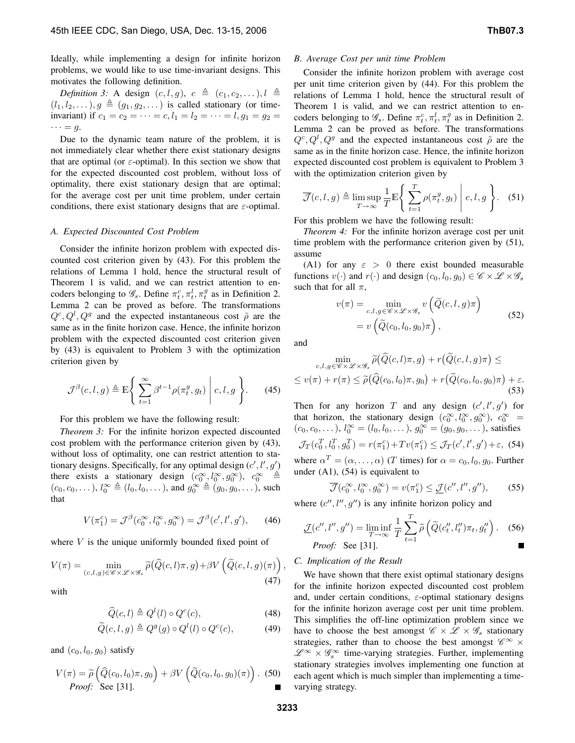Ideally, while implementing a design for infinite horizon problems, we would like to use time-invariant designs. This motivates the following definition.

*Definition 3:* A design  $(c, l, g)$ ,  $c \triangleq (c_1, c_2, \ldots)$ ,  $l \triangleq$  $(l_1, l_2,...), g \triangleq (g_1, g_2,...)$  is called stationary (or timeinvariant) if  $c_1 = c_2 = \cdots = c, l_1 = l_2 = \cdots = l, g_1 = g_2 =$  $\cdots = g.$ 

Due to the dynamic team nature of the problem, it is not immediately clear whether there exist stationary designs that are optimal (or  $\varepsilon$ -optimal). In this section we show that for the expected discounted cost problem, without loss of optimality, there exist stationary design that are optimal; for the average cost per unit time problem, under certain conditions, there exist stationary designs that are  $\varepsilon$ -optimal.

#### *A. Expected Discounted Cost Problem*

Consider the infinite horizon problem with expected discounted cost criterion given by (43). For this problem the relations of Lemma 1 hold, hence the structural result of Theorem 1 is valid, and we can restrict attention to encoders belonging to  $\mathscr{G}_s$ . Define  $\pi_t^c, \pi_t^l, \pi_t^g$  as in Definition 2. Lemma 2 can be proved as before. The transformations  $Q^c, Q^l, Q^g$  and the expected instantaneous cost  $\tilde{\rho}$  are the same as in the finite horizon case. Hence, the infinite horizon problem with the expected discounted cost criterion given by (43) is equivalent to Problem 3 with the optimization criterion given by

$$
\mathcal{J}^{\beta}(c,l,g) \triangleq \mathbb{E}\Bigg\{\sum_{t=1}^{\infty} \beta^{t-1} \rho(\pi_t^g, g_t) \middle| c, l, g \Bigg\}.
$$
 (45)

For this problem we have the following result:

*Theorem 3:* For the infinite horizon expected discounted cost problem with the performance criterion given by (43), without loss of optimality, one can restrict attention to stationary designs. Specifically, for any optimal design  $(c', l', g')$ there exists a stationary design  $(c_0^{\infty}, l_0^{\infty}, g_0^{\infty})$ ,  $c_0^{\infty} \stackrel{\triangle}{=}$  $(c_0, c_0,...), l_0^{\infty} \triangleq (l_0, l_0,...),$  and  $g_0^{\infty} \triangleq (g_0, g_0,...),$  such that

$$
V(\pi_1^c) = \mathcal{J}^{\beta}(c_0^{\infty}, l_0^{\infty}, g_0^{\infty}) = \mathcal{J}^{\beta}(c', l', g'), \qquad (46)
$$

where  $V$  is the unique uniformly bounded fixed point of

$$
V(\pi) = \min_{(c,l,g)\in\mathscr{C}\times\mathscr{L}\times\mathscr{G}_s} \widetilde{\rho}(\widehat{Q}(c,l)\pi,g) + \beta V\left(\widetilde{Q}(c,l,g)(\pi)\right),\tag{47}
$$

with

$$
\widehat{Q}(c,l) \triangleq Q^{l}(l) \circ Q^{c}(c), \tag{48}
$$

$$
\widetilde{Q}(c,l,g) \triangleq Q^g(g) \circ Q^l(l) \circ Q^c(c), \tag{49}
$$

and  $(c_0, l_0, g_0)$  satisfy

$$
V(\pi) = \widetilde{\rho}\left(\widehat{Q}(c_0, l_0)\pi, g_0\right) + \beta V\left(\widetilde{Q}(c_0, l_0, g_0)(\pi)\right).
$$
 (50)  
*Proof:* See [31].

#### *B. Average Cost per unit time Problem*

Consider the infinite horizon problem with average cost per unit time criterion given by (44). For this problem the relations of Lemma 1 hold, hence the structural result of Theorem 1 is valid, and we can restrict attention to encoders belonging to  $\mathscr{G}_s$ . Define  $\pi_t^c, \pi_t^l, \pi_t^g$  as in Definition 2. Lemma 2 can be proved as before. The transformations  $Q^c, Q^l, Q^g$  and the expected instantaneous cost  $\tilde{\rho}$  are the same as in the finite horizon case. Hence, the infinite horizon expected discounted cost problem is equivalent to Problem 3 with the optimization criterion given by

$$
\overline{\mathcal{J}}(c,l,g) \triangleq \limsup_{T \to \infty} \frac{1}{T} \mathbb{E} \left\{ \left. \sum_{t=1}^{T} \rho(\pi_t^g, g_t) \right| c, l, g \right\}.
$$
 (51)

For this problem we have the following result:

*Theorem 4:* For the infinite horizon average cost per unit time problem with the performance criterion given by (51), assume

(A1) for any  $\varepsilon > 0$  there exist bounded measurable functions  $v(\cdot)$  and  $r(\cdot)$  and design  $(c_0, l_0, g_0) \in \mathscr{C} \times \mathscr{L} \times \mathscr{G}_s$ such that for all  $\pi$ ,

$$
v(\pi) = \min_{c,l,g \in \mathscr{C} \times \mathscr{L} \times \mathscr{G}_s} v\left(\widetilde{Q}(c,l,g)\pi\right)
$$
  
=  $v\left(\widetilde{Q}(c_0,l_0,g_0)\pi\right),$  (52)

and

$$
\min_{c,l,g \in \mathscr{C} \times \mathscr{L} \times \mathscr{G}_s} \widetilde{\rho}(\widehat{Q}(c,l)\pi, g) + r(\widetilde{Q}(c,l,g)\pi) \le
$$
\n
$$
\leq v(\pi) + r(\pi) \leq \widetilde{\rho}(\widehat{Q}(c_0,l_0)\pi, g_0) + r(\widetilde{Q}(c_0,l_0,g_0)\pi) + \varepsilon.
$$
\n(53)

Then for any horizon T and any design  $(c', l', g')$  for that horizon, the stationary design  $(c_0^{\infty}, l_0^{\infty}, g_0^{\infty})$ ,  $c_0^{\infty}$  =  $(c_0, c_0,...), l_0^{\infty} = (l_0, l_0,...), g_0^{\infty} = (g_0, g_0,...),$  satisfies  $\mathcal{J}_T(c_0^T, l_0^T, g_0^T) = r(\pi_1^c) + Tv(\pi_1^c) \le \mathcal{J}_T(c', l', g') + \varepsilon,$  (54)

where  $\alpha^T = (\alpha, \dots, \alpha)$  (*T* times) for  $\alpha = c_0, l_0, g_0$ . Further under  $(A1)$ ,  $(54)$  is equivalent to

$$
\overline{\mathcal{J}}(c_0^{\infty}, l_0^{\infty}, g_0^{\infty}) = v(\pi_1^c) \le \underline{\mathcal{J}}(c'', l'', g''),\tag{55}
$$

where  $(c'', l'', g'')$  is any infinite horizon policy and

$$
\underline{\mathcal{J}}(c'', l'', g'') = \liminf_{T \to \infty} \frac{1}{T} \sum_{t=1}^{T} \widetilde{\rho} \left( \widetilde{Q}(c_t'', l_t'') \pi_t, g_t'' \right). \tag{56}
$$
  
\n*Proof:* See [31].

## *C. Implication of the Result*

We have shown that there exist optimal stationary designs for the infinite horizon expected discounted cost problem and, under certain conditions,  $\varepsilon$ -optimal stationary designs for the infinite horizon average cost per unit time problem. This simplifies the off-line optimization problem since we have to choose the best amongst  $\mathscr{C} \times \mathscr{L} \times \mathscr{G}_s$  stationary strategies, rather than to choose the best amongst  $\mathscr{C}^\infty\times$  $\mathscr{L}^{\infty} \times \mathscr{G}^{\infty}_s$  time-varying strategies. Further, implementing stationary strategies involves implementing one function at each agent which is much simpler than implementing a timevarying strategy.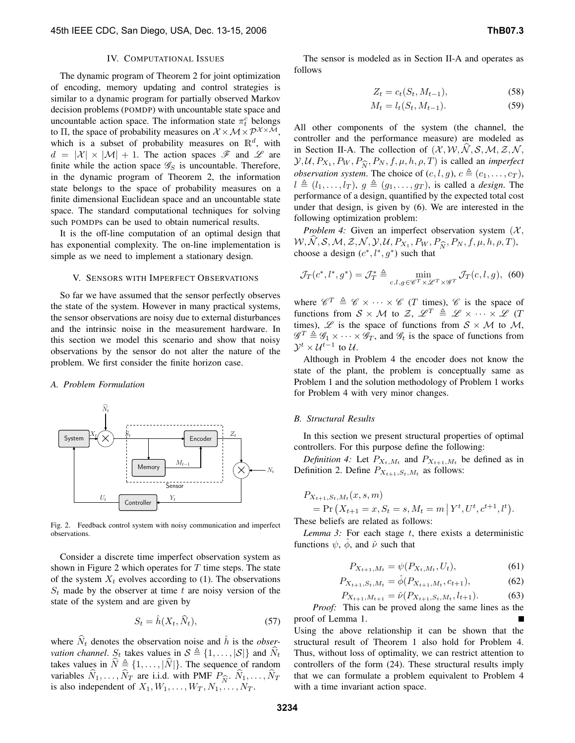#### IV. COMPUTATIONAL ISSUES

The dynamic program of Theorem 2 for joint optimization of encoding, memory updating and control strategies is similar to a dynamic program for partially observed Markov decision problems (POMDP) with uncountable state space and uncountable action space. The information state  $\pi_t^c$  belongs to Π, the space of probability measures on  $\mathcal{X} \times \mathcal{M} \times \mathcal{P}^{\mathcal{X} \times \mathcal{M}},$ which is a subset of probability measures on  $\mathbb{R}^d$ , with  $d = |\mathcal{X}| \times |\mathcal{M}| + 1$ . The action spaces  $\mathcal{F}$  and  $\mathcal{L}$  are finite while the action space  $\mathscr{G}_S$  is uncountable. Therefore, in the dynamic program of Theorem 2, the information state belongs to the space of probability measures on a finite dimensional Euclidean space and an uncountable state space. The standard computational techniques for solving such POMDPs can be used to obtain numerical results.

It is the off-line computation of an optimal design that has exponential complexity. The on-line implementation is simple as we need to implement a stationary design.

#### V. SENSORS WITH IMPERFECT OBSERVATIONS

So far we have assumed that the sensor perfectly observes the state of the system. However in many practical systems, the sensor observations are noisy due to external disturbances and the intrinsic noise in the measurement hardware. In this section we model this scenario and show that noisy observations by the sensor do not alter the nature of the problem. We first consider the finite horizon case.

## *A. Problem Formulation*



Fig. 2. Feedback control system with noisy communication and imperfect observations.

Consider a discrete time imperfect observation system as shown in Figure 2 which operates for  $T$  time steps. The state of the system  $X_t$  evolves according to (1). The observations  $S_t$  made by the observer at time t are noisy version of the state of the system and are given by

$$
S_t = \hat{h}(X_t, \hat{N}_t),\tag{57}
$$

where  $\widehat{N}_t$  denotes the observation noise and  $\widehat{h}$  is the *observation channel.*  $S_t$  takes values in  $S \triangleq \{1, \ldots, |S|\}$  and  $\widehat{N}_t$ takes values in  $\hat{N} \triangleq \{1, \ldots, |\hat{N}|\}$ . The sequence of random variables  $N_1, \ldots, N_T$  are i.i.d. with PMF  $P_{\widehat{N}}$ .  $N_1, \ldots, N_T$ <br>is also independent of  $X_1, W_1, \ldots, W_T, N_1, \ldots, N_T$ . is also independent of  $X_1, W_1, \ldots, W_T, N_1, \ldots, N_T$ .

$$
Z_t = c_t(S_t, M_{t-1}),
$$
\n(58)

$$
M_t = l_t(S_t, M_{t-1}).
$$
\n(59)

All other components of the system (the channel, the controller and the performance measure) are modeled as in Section II-A. The collection of  $(\mathcal{X}, \mathcal{W}, \mathcal{N}, \mathcal{S}, \mathcal{M}, \mathcal{Z}, \mathcal{N}, \mathcal{S})$  $\mathcal{Y}, \mathcal{U}, P_{X_1}, P_W, P_{\widehat{N}}, P_N, f, \mu, h, \rho, T$  is called an *imperfect*<br>observation system. The choice of  $(c, l, a)$ ,  $c \triangleq (c_1, c_2, c_3)$ *observation system.* The choice of  $(c, l, g)$ ,  $c \triangleq (c_1, \ldots, c_T)$ ,  $l \triangleq (l_1,\ldots,l_T)$ ,  $q \triangleq (q_1,\ldots,q_T)$ , is called a *design*. The performance of a design, quantified by the expected total cost under that design, is given by (6). We are interested in the following optimization problem:

*Problem 4:* Given an imperfect observation system  $(X,$  $W, N, S, M, Z, N, Y, U, P_{X_1}, P_W, P_{\hat{N}}, P_N, f, \mu, h, \rho, T$ ,<br>choose a design  $(c^*, l^*, \sigma^*)$  such that choose a design  $(c^*, l^*, g^*)$  such that

$$
\mathcal{J}_T(c^*, l^*, g^*) = \mathcal{J}_T^* \triangleq \min_{c, l, g \in \mathscr{C}^T \times \mathscr{L}^T \times \mathscr{G}^T} \mathcal{J}_T(c, l, g), \tag{60}
$$

where  $\mathscr{C}^T \triangleq \mathscr{C} \times \cdots \times \mathscr{C}$  (*T* times),  $\mathscr{C}$  is the space of functions from  $S \times M$  to  $\mathcal{Z}, \mathcal{L}^T \triangleq \mathcal{L} \times \cdots \times \mathcal{L}$  (T times),  $\mathscr L$  is the space of functions from  $S \times \mathcal M$  to  $\mathcal M$ ,  $\mathscr{G}^T \triangleq \mathscr{G}_1 \times \cdots \times \mathscr{G}_T$ , and  $\mathscr{G}_t$  is the space of functions from  $\mathcal{Y}^{t} \times \mathcal{U}^{t-1}$  to  $\mathcal{U}.$ 

Although in Problem 4 the encoder does not know the state of the plant, the problem is conceptually same as Problem 1 and the solution methodology of Problem 1 works for Problem 4 with very minor changes.

## *B. Structural Results*

In this section we present structural properties of optimal controllers. For this purpose define the following:

*Definition 4:* Let  $P_{X_t,M_t}$  and  $P_{X_{t+1},M_t}$  be defined as in Definition 2. Define  $P_{X_{t+1},S_t,M_t}$  as follows:

$$
P_{X_{t+1}, S_t, M_t}(x, s, m)
$$
  
= Pr(X<sub>t+1</sub> = x, S<sub>t</sub> = s, M<sub>t</sub> = m | Y<sup>t</sup>, U<sup>t</sup>, c<sup>t+1</sup>, l<sup>t</sup>).

These beliefs are related as follows:

*Lemma 3:* For each stage  $t$ , there exists a deterministic functions  $\psi$ ,  $\phi$ , and  $\hat{\nu}$  such that

$$
P_{X_{t+1},M_t} = \psi(P_{X_t,M_t}, U_t),\tag{61}
$$

$$
P_{X_{t+1},S_t,M_t} = \hat{\phi}(P_{X_{t+1},M_t},c_{t+1}),\tag{62}
$$

$$
P_{X_{t+1}, M_{t+1}} = \hat{\nu}(P_{X_{t+1}, S_t, M_t}, l_{t+1}).
$$
\n(63)

*Proof:* This can be proved along the same lines as the proof of Lemma 1.

Using the above relationship it can be shown that the structural result of Theorem 1 also hold for Problem 4. Thus, without loss of optimality, we can restrict attention to controllers of the form (24). These structural results imply that we can formulate a problem equivalent to Problem 4 with a time invariant action space.